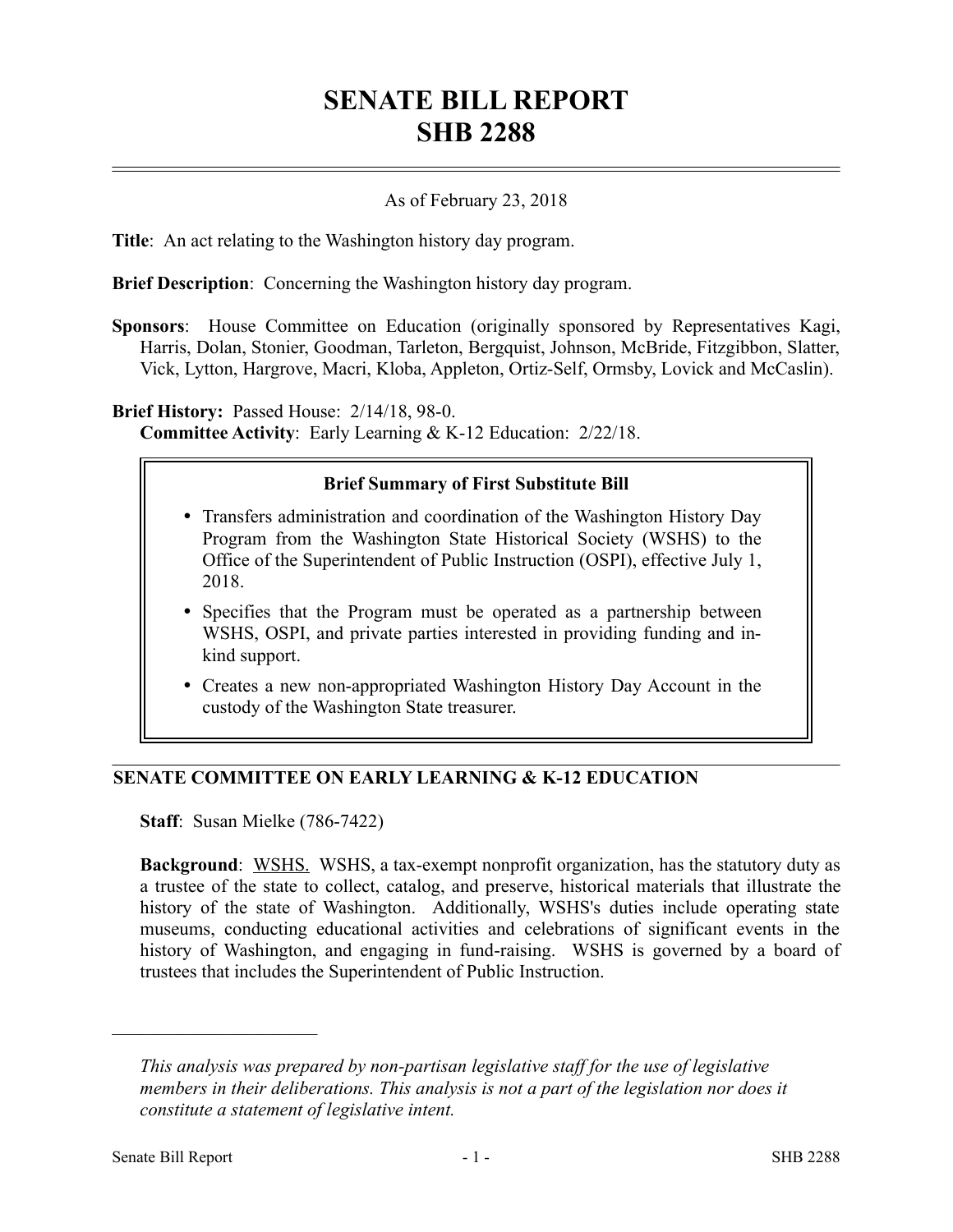# **SENATE BILL REPORT SHB 2288**

### As of February 23, 2018

**Title**: An act relating to the Washington history day program.

**Brief Description**: Concerning the Washington history day program.

**Sponsors**: House Committee on Education (originally sponsored by Representatives Kagi, Harris, Dolan, Stonier, Goodman, Tarleton, Bergquist, Johnson, McBride, Fitzgibbon, Slatter, Vick, Lytton, Hargrove, Macri, Kloba, Appleton, Ortiz-Self, Ormsby, Lovick and McCaslin).

**Brief History:** Passed House: 2/14/18, 98-0. **Committee Activity**: Early Learning & K-12 Education: 2/22/18.

#### **Brief Summary of First Substitute Bill**

- Transfers administration and coordination of the Washington History Day Program from the Washington State Historical Society (WSHS) to the Office of the Superintendent of Public Instruction (OSPI), effective July 1, 2018.
- Specifies that the Program must be operated as a partnership between WSHS, OSPI, and private parties interested in providing funding and inkind support.
- Creates a new non-appropriated Washington History Day Account in the custody of the Washington State treasurer.

#### **SENATE COMMITTEE ON EARLY LEARNING & K-12 EDUCATION**

**Staff**: Susan Mielke (786-7422)

**Background**: WSHS. WSHS, a tax-exempt nonprofit organization, has the statutory duty as a trustee of the state to collect, catalog, and preserve, historical materials that illustrate the history of the state of Washington. Additionally, WSHS's duties include operating state museums, conducting educational activities and celebrations of significant events in the history of Washington, and engaging in fund-raising. WSHS is governed by a board of trustees that includes the Superintendent of Public Instruction.

––––––––––––––––––––––

*This analysis was prepared by non-partisan legislative staff for the use of legislative members in their deliberations. This analysis is not a part of the legislation nor does it constitute a statement of legislative intent.*